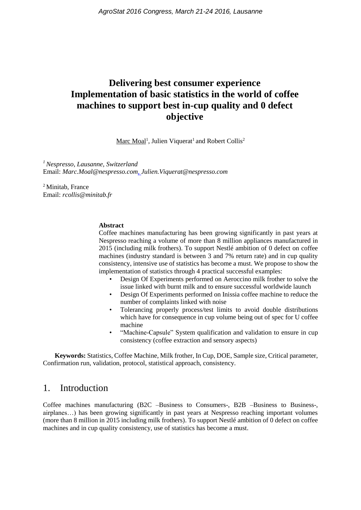# **Delivering best consumer experience Implementation of basic statistics in the world of coffee machines to support best in-cup quality and 0 defect objective**

Marc Moal<sup>1</sup>, Julien Viquerat<sup>1</sup> and Robert Collis<sup>2</sup>

*<sup>1</sup>Nespresso, Lausanne, Switzerland* Email: *Marc.Moal@nespresso.com, Julien.Viquerat@nespresso.com*

<sup>2</sup> Minitab, France Email: *rcollis@minitab.fr*

#### **Abstract**

Coffee machines manufacturing has been growing significantly in past years at Nespresso reaching a volume of more than 8 million appliances manufactured in 2015 (including milk frothers). To support Nestlé ambition of 0 defect on coffee machines (industry standard is between 3 and 7% return rate) and in cup quality consistency, intensive use of statistics has become a must. We propose to show the implementation of statistics through 4 practical successful examples:

- Design Of Experiments performed on Aeroccino milk frother to solve the issue linked with burnt milk and to ensure successful worldwide launch
- Design Of Experiments performed on Inissia coffee machine to reduce the number of complaints linked with noise
- Tolerancing properly process/test limits to avoid double distributions which have for consequence in cup volume being out of spec for U coffee machine
- "Machine-Capsule" System qualification and validation to ensure in cup consistency (coffee extraction and sensory aspects)

 **Keywords:** Statistics, Coffee Machine, Milk frother, In Cup, DOE, Sample size, Critical parameter, Confirmation run, validation, protocol, statistical approach, consistency.

## 1. Introduction

Coffee machines manufacturing (B2C –Business to Consumers-, B2B –Business to Business-, airplanes…) has been growing significantly in past years at Nespresso reaching important volumes (more than 8 million in 2015 including milk frothers). To support Nestlé ambition of 0 defect on coffee machines and in cup quality consistency, use of statistics has become a must.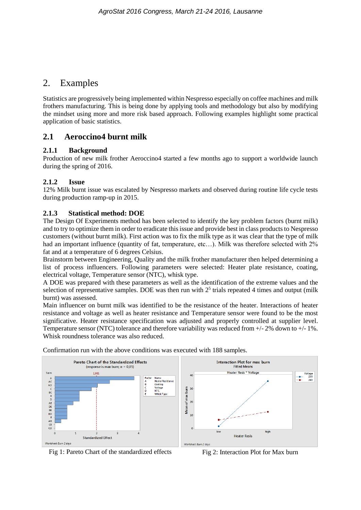## 2. Examples

Statistics are progressively being implemented within Nespresso especially on coffee machines and milk frothers manufacturing. This is being done by applying tools and methodology but also by modifying the mindset using more and more risk based approach. Following examples highlight some practical application of basic statistics.

## **2.1 Aeroccino4 burnt milk**

### **2.1.1 Background**

Production of new milk frother Aeroccino4 started a few months ago to support a worldwide launch during the spring of 2016.

### **2.1.2 Issue**

12% Milk burnt issue was escalated by Nespresso markets and observed during routine life cycle tests during production ramp-up in 2015.

### **2.1.3 Statistical method: DOE**

The Design Of Experiments method has been selected to identify the key problem factors (burnt milk) and to try to optimize them in order to eradicate this issue and provide best in class products to Nespresso customers (without burnt milk). First action was to fix the milk type as it was clear that the type of milk had an important influence (quantity of fat, temperature, etc...). Milk was therefore selected with 2% fat and at a temperature of 6 degrees Celsius.

Brainstorm between Engineering, Quality and the milk frother manufacturer then helped determining a list of process influencers. Following parameters were selected: Heater plate resistance, coating, electrical voltage, Temperature sensor (NTC), whisk type.

A DOE was prepared with these parameters as well as the identification of the extreme values and the selection of representative samples. DOE was then run with  $2<sup>5</sup>$  trials repeated 4 times and output (milk burnt) was assessed.

Main influencer on burnt milk was identified to be the resistance of the heater. Interactions of heater resistance and voltage as well as heater resistance and Temperature sensor were found to be the most significative. Heater resistance specification was adjusted and properly controlled at supplier level. Temperature sensor (NTC) tolerance and therefore variability was reduced from +/- 2% down to +/- 1%. Whisk roundness tolerance was also reduced.







Fig 1: Pareto Chart of the standardized effects Fig 2: Interaction Plot for Max burn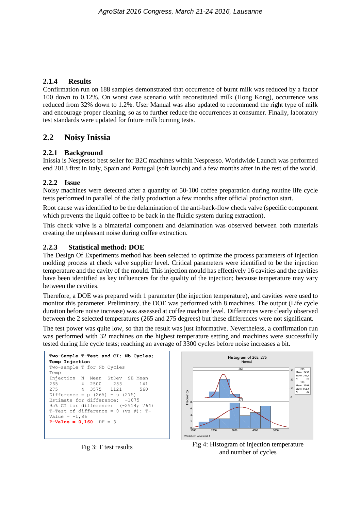### **2.1.4 Results**

Confirmation run on 188 samples demonstrated that occurrence of burnt milk was reduced by a factor 100 down to 0.12%. On worst case scenario with reconstituted milk (Hong Kong), occurrence was reduced from 32% down to 1.2%. User Manual was also updated to recommend the right type of milk and encourage proper cleaning, so as to further reduce the occurrences at consumer. Finally, laboratory test standards were updated for future milk burning tests.

### **2.2 Noisy Inissia**

### **2.2.1 Background**

Inissia is Nespresso best seller for B2C machines within Nespresso. Worldwide Launch was performed end 2013 first in Italy, Spain and Portugal (soft launch) and a few months after in the rest of the world.

### **2.2.2 Issue**

Noisy machines were detected after a quantity of 50-100 coffee preparation during routine life cycle tests performed in parallel of the daily production a few months after official production start.

Root cause was identified to be the delamination of the anti-back-flow check valve (specific component which prevents the liquid coffee to be back in the fluidic system during extraction).

This check valve is a bimaterial component and delamination was observed between both materials creating the unpleasant noise during coffee extraction.

### **2.2.3 Statistical method: DOE**

The Design Of Experiments method has been selected to optimize the process parameters of injection molding process at check valve supplier level. Critical parameters were identified to be the injection temperature and the cavity of the mould. This injection mould has effectively 16 cavities and the cavities have been identified as key influencers for the quality of the injection; because temperature may vary between the cavities.

Therefore, a DOE was prepared with 1 parameter (the injection temperature), and cavities were used to monitor this parameter. Preliminary, the DOE was performed with 8 machines. The output (Life cycle duration before noise increase) was assessed at coffee machine level. Differences were clearly observed between the 2 selected temperatures (265 and 275 degrees) but these differences were not significant.

The test power was quite low, so that the result was just informative. Nevertheless, a confirmation run was performed with 32 machines on the highest temperature setting and machines were successfully tested during life cycle tests; reaching an average of 3300 cycles before noise increases a bit.





Fig 3: T test results Fig 4: Histogram of injection temperature and number of cycles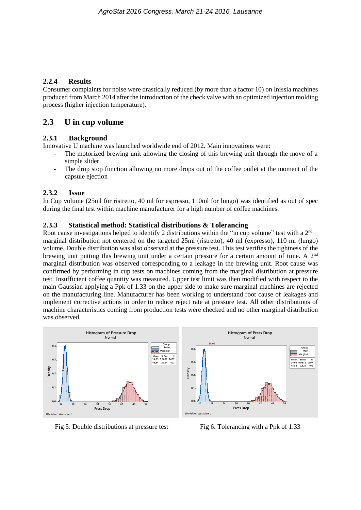### **2.2.4 Results**

Consumer complaints for noise were drastically reduced (by more than a factor 10) on Inissia machines produced from March 2014 after the introduction of the check valve with an optimized injection molding process (higher injection temperature).

### **2.3 U in cup volume**

### **2.3.1 Background**

Innovative U machine was launched worldwide end of 2012. Main innovations were:

- The motorized brewing unit allowing the closing of this brewing unit through the move of a simple slider.
- The drop stop function allowing no more drops out of the coffee outlet at the moment of the capsule ejection

### **2.3.2 Issue**

In Cup volume (25ml for ristretto, 40 ml for espresso, 110ml for lungo) was identified as out of spec during the final test within machine manufacturer for a high number of coffee machines.

### **2.3.3 Statistical method: Statistical distributions & Tolerancing**

Root cause investigations helped to identify 2 distributions within the "in cup volume" test with a 2<sup>nd</sup> marginal distribution not centered on the targeted 25ml (ristretto), 40 ml (expresso), 110 ml (lungo) volume. Double distribution was also observed at the pressure test. This test verifies the tightness of the brewing unit putting this brewing unit under a certain pressure for a certain amount of time. A 2<sup>nd</sup> marginal distribution was observed corresponding to a leakage in the brewing unit. Root cause was confirmed by performing in cup tests on machines coming from the marginal distribution at pressure test. Insufficient coffee quantity was measured. Upper test limit was then modified with respect to the main Gaussian applying a Ppk of 1.33 on the upper side to make sure marginal machines are rejected on the manufacturing line. Manufacturer has been working to understand root cause of leakages and implement corrective actions in order to reduce reject rate at pressure test. All other distributions of machine characteristics coming from production tests were checked and no other marginal distribution was observed.



Fig 5: Double distributions at pressure test Fig 6: Tolerancing with a Ppk of 1.33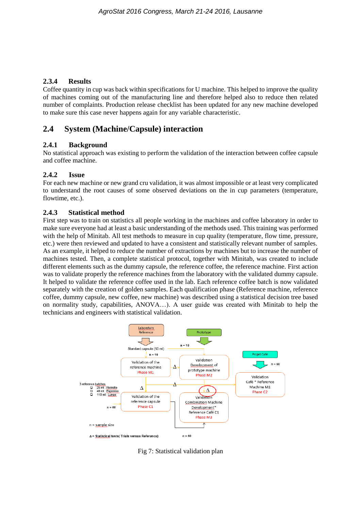### **2.3.4 Results**

Coffee quantity in cup was back within specifications for U machine. This helped to improve the quality of machines coming out of the manufacturing line and therefore helped also to reduce then related number of complaints. Production release checklist has been updated for any new machine developed to make sure this case never happens again for any variable characteristic.

### **2.4 System (Machine/Capsule) interaction**

### **2.4.1 Background**

No statistical approach was existing to perform the validation of the interaction between coffee capsule and coffee machine.

### **2.4.2 Issue**

For each new machine or new grand cru validation, it was almost impossible or at least very complicated to understand the root causes of some observed deviations on the in cup parameters (temperature, flowtime, etc.).

#### **2.4.3 Statistical method**

First step was to train on statistics all people working in the machines and coffee laboratory in order to make sure everyone had at least a basic understanding of the methods used. This training was performed with the help of Minitab. All test methods to measure in cup quality (temperature, flow time, pressure, etc.) were then reviewed and updated to have a consistent and statistically relevant number of samples. As an example, it helped to reduce the number of extractions by machines but to increase the number of machines tested. Then, a complete statistical protocol, together with Minitab, was created to include different elements such as the dummy capsule, the reference coffee, the reference machine. First action was to validate properly the reference machines from the laboratory with the validated dummy capsule. It helped to validate the reference coffee used in the lab. Each reference coffee batch is now validated separately with the creation of golden samples. Each qualification phase (Reference machine, reference coffee, dummy capsule, new coffee, new machine) was described using a statistical decision tree based on normality study, capabilities, ANOVA…). A user guide was created with Minitab to help the technicians and engineers with statistical validation.



Fig 7: Statistical validation plan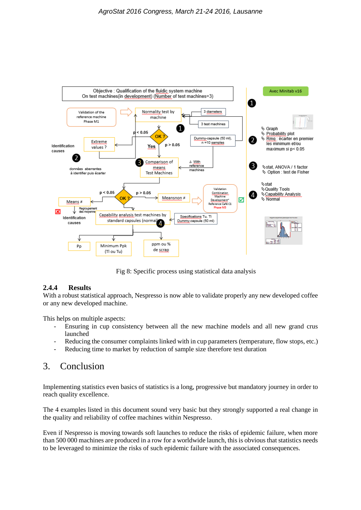

Fig 8: Specific process using statistical data analysis

### **2.4.4 Results**

With a robust statistical approach, Nespresso is now able to validate properly any new developed coffee or any new developed machine.

This helps on multiple aspects:

- Ensuring in cup consistency between all the new machine models and all new grand crus launched
- Reducing the consumer complaints linked with in cup parameters (temperature, flow stops, etc.)
- Reducing time to market by reduction of sample size therefore test duration

## 3. Conclusion

Implementing statistics even basics of statistics is a long, progressive but mandatory journey in order to reach quality excellence.

The 4 examples listed in this document sound very basic but they strongly supported a real change in the quality and reliability of coffee machines within Nespresso.

Even if Nespresso is moving towards soft launches to reduce the risks of epidemic failure, when more than 500 000 machines are produced in a row for a worldwide launch, this is obvious that statistics needs to be leveraged to minimize the risks of such epidemic failure with the associated consequences.